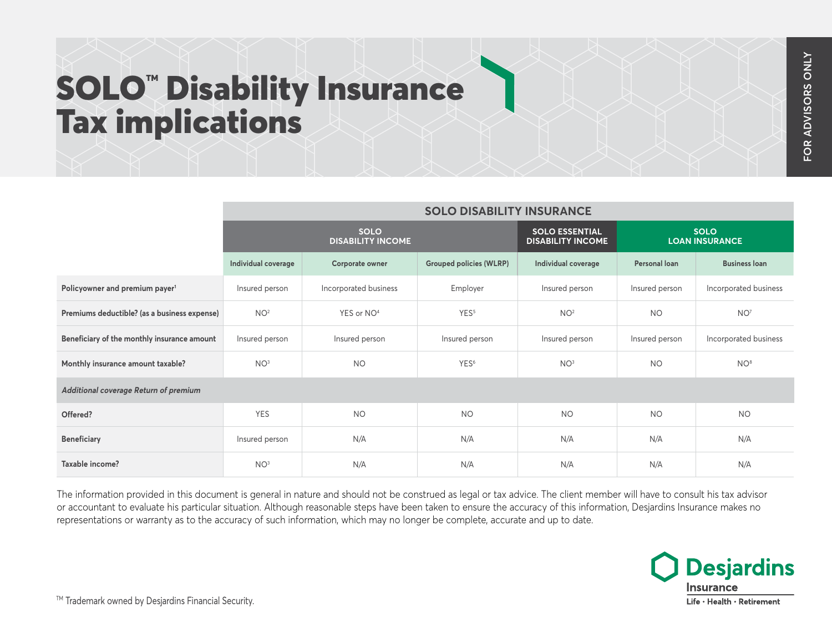## SOLO<sup>™</sup> Disability Insurance Tax implications

|                                              | <b>SOLO DISABILITY INSURANCE</b>        |                        |                                                   |                                      |                |                       |
|----------------------------------------------|-----------------------------------------|------------------------|---------------------------------------------------|--------------------------------------|----------------|-----------------------|
|                                              | <b>SOLO</b><br><b>DISABILITY INCOME</b> |                        | <b>SOLO ESSENTIAL</b><br><b>DISABILITY INCOME</b> | <b>SOLO</b><br><b>LOAN INSURANCE</b> |                |                       |
|                                              | Individual coverage                     | Corporate owner        | <b>Grouped policies (WLRP)</b>                    | Individual coverage                  | Personal loan  | <b>Business loan</b>  |
| Policyowner and premium payer <sup>1</sup>   | Insured person                          | Incorporated business  | Employer                                          | Insured person                       | Insured person | Incorporated business |
| Premiums deductible? (as a business expense) | NO <sup>2</sup>                         | YES or NO <sup>4</sup> | YES <sup>5</sup>                                  | NO <sup>2</sup>                      | <b>NO</b>      | NO <sup>7</sup>       |
| Beneficiary of the monthly insurance amount  | Insured person                          | Insured person         | Insured person                                    | Insured person                       | Insured person | Incorporated business |
| Monthly insurance amount taxable?            | NO <sup>3</sup>                         | <b>NO</b>              | YES <sup>6</sup>                                  | NO <sup>3</sup>                      | <b>NO</b>      | NO <sup>8</sup>       |
| Additional coverage Return of premium        |                                         |                        |                                                   |                                      |                |                       |
| Offered?                                     | <b>YES</b>                              | <b>NO</b>              | <b>NO</b>                                         | <b>NO</b>                            | <b>NO</b>      | <b>NO</b>             |
| <b>Beneficiary</b>                           | Insured person                          | N/A                    | N/A                                               | N/A                                  | N/A            | N/A                   |
| Taxable income?                              | NO <sup>3</sup>                         | N/A                    | N/A                                               | N/A                                  | N/A            | N/A                   |

The information provided in this document is general in nature and should not be construed as legal or tax advice. The client member will have to consult his tax advisor or accountant to evaluate his particular situation. Although reasonable steps have been taken to ensure the accuracy of this information, Desjardins Insurance makes no representations or warranty as to the accuracy of such information, which may no longer be complete, accurate and up to date.



™ Trademark owned by Desjardins Financial Security.